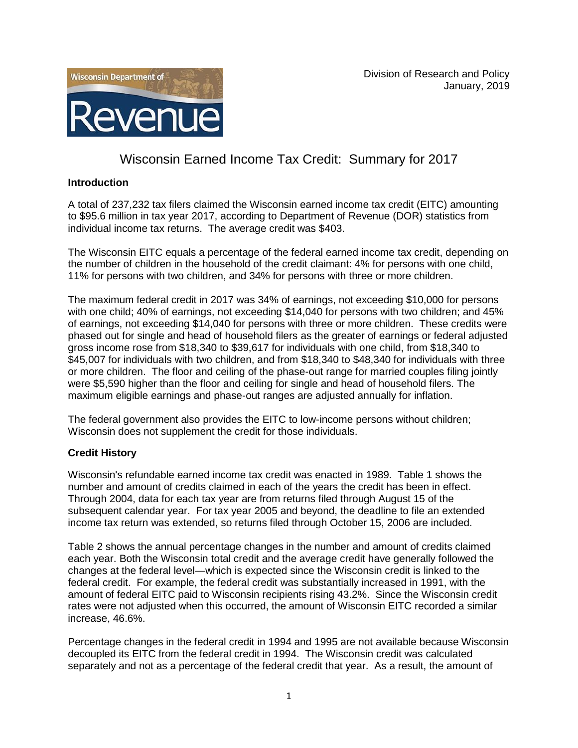



# Wisconsin Earned Income Tax Credit: Summary for 2017

## **Introduction**

A total of 237,232 tax filers claimed the Wisconsin earned income tax credit (EITC) amounting to \$95.6 million in tax year 2017, according to Department of Revenue (DOR) statistics from individual income tax returns. The average credit was \$403.

The Wisconsin EITC equals a percentage of the federal earned income tax credit, depending on the number of children in the household of the credit claimant: 4% for persons with one child, 11% for persons with two children, and 34% for persons with three or more children.

The maximum federal credit in 2017 was 34% of earnings, not exceeding \$10,000 for persons with one child; 40% of earnings, not exceeding \$14,040 for persons with two children; and 45% of earnings, not exceeding \$14,040 for persons with three or more children. These credits were phased out for single and head of household filers as the greater of earnings or federal adjusted gross income rose from \$18,340 to \$39,617 for individuals with one child, from \$18,340 to \$45,007 for individuals with two children, and from \$18,340 to \$48,340 for individuals with three or more children. The floor and ceiling of the phase-out range for married couples filing jointly were \$5,590 higher than the floor and ceiling for single and head of household filers. The maximum eligible earnings and phase-out ranges are adjusted annually for inflation.

The federal government also provides the EITC to low-income persons without children; Wisconsin does not supplement the credit for those individuals.

### **Credit History**

Wisconsin's refundable earned income tax credit was enacted in 1989. Table 1 shows the number and amount of credits claimed in each of the years the credit has been in effect. Through 2004, data for each tax year are from returns filed through August 15 of the subsequent calendar year. For tax year 2005 and beyond, the deadline to file an extended income tax return was extended, so returns filed through October 15, 2006 are included.

Table 2 shows the annual percentage changes in the number and amount of credits claimed each year. Both the Wisconsin total credit and the average credit have generally followed the changes at the federal level—which is expected since the Wisconsin credit is linked to the federal credit. For example, the federal credit was substantially increased in 1991, with the amount of federal EITC paid to Wisconsin recipients rising 43.2%. Since the Wisconsin credit rates were not adjusted when this occurred, the amount of Wisconsin EITC recorded a similar increase, 46.6%.

Percentage changes in the federal credit in 1994 and 1995 are not available because Wisconsin decoupled its EITC from the federal credit in 1994. The Wisconsin credit was calculated separately and not as a percentage of the federal credit that year. As a result, the amount of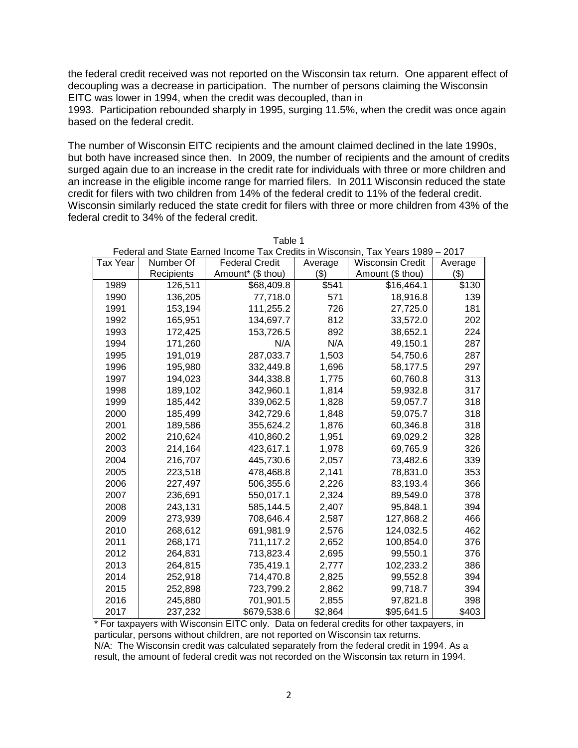the federal credit received was not reported on the Wisconsin tax return. One apparent effect of decoupling was a decrease in participation. The number of persons claiming the Wisconsin EITC was lower in 1994, when the credit was decoupled, than in

1993. Participation rebounded sharply in 1995, surging 11.5%, when the credit was once again based on the federal credit.

The number of Wisconsin EITC recipients and the amount claimed declined in the late 1990s, but both have increased since then. In 2009, the number of recipients and the amount of credits surged again due to an increase in the credit rate for individuals with three or more children and an increase in the eligible income range for married filers. In 2011 Wisconsin reduced the state credit for filers with two children from 14% of the federal credit to 11% of the federal credit. Wisconsin similarly reduced the state credit for filers with three or more children from 43% of the federal credit to 34% of the federal credit.

| Federal and State Earned Income Tax Credits in Wisconsin, Tax Years 1989 -<br>2017 |            |                       |         |                         |         |  |
|------------------------------------------------------------------------------------|------------|-----------------------|---------|-------------------------|---------|--|
| <b>Tax Year</b>                                                                    | Number Of  | <b>Federal Credit</b> | Average | <b>Wisconsin Credit</b> | Average |  |
|                                                                                    | Recipients | Amount* (\$ thou)     | (3)     | Amount (\$ thou)        | (3)     |  |
| 1989                                                                               | 126,511    | \$68,409.8            | \$541   | \$16,464.1              | \$130   |  |
| 1990                                                                               | 136,205    | 77,718.0              | 571     | 18,916.8                | 139     |  |
| 1991                                                                               | 153,194    | 111,255.2             | 726     | 27,725.0                | 181     |  |
| 1992                                                                               | 165,951    | 134,697.7             | 812     | 33,572.0                | 202     |  |
| 1993                                                                               | 172,425    | 153,726.5             | 892     | 38,652.1                | 224     |  |
| 1994                                                                               | 171,260    | N/A                   | N/A     | 49,150.1                | 287     |  |
| 1995                                                                               | 191,019    | 287,033.7             | 1,503   | 54,750.6                | 287     |  |
| 1996                                                                               | 195,980    | 332,449.8             | 1,696   | 58,177.5                | 297     |  |
| 1997                                                                               | 194,023    | 344,338.8             | 1,775   | 60,760.8                | 313     |  |
| 1998                                                                               | 189,102    | 342,960.1             | 1,814   | 59,932.8                | 317     |  |
| 1999                                                                               | 185,442    | 339,062.5             | 1,828   | 59,057.7                | 318     |  |
| 2000                                                                               | 185,499    | 342,729.6             | 1,848   | 59,075.7                | 318     |  |
| 2001                                                                               | 189,586    | 355,624.2             | 1,876   | 60,346.8                | 318     |  |
| 2002                                                                               | 210,624    | 410,860.2             | 1,951   | 69,029.2                | 328     |  |
| 2003                                                                               | 214,164    | 423,617.1             | 1,978   | 69,765.9                | 326     |  |
| 2004                                                                               | 216,707    | 445,730.6             | 2,057   | 73,482.6                | 339     |  |
| 2005                                                                               | 223,518    | 478,468.8             | 2,141   | 78,831.0                | 353     |  |
| 2006                                                                               | 227,497    | 506,355.6             | 2,226   | 83,193.4                | 366     |  |
| 2007                                                                               | 236,691    | 550,017.1             | 2,324   | 89,549.0                | 378     |  |
| 2008                                                                               | 243,131    | 585,144.5             | 2,407   | 95,848.1                | 394     |  |
| 2009                                                                               | 273,939    | 708,646.4             | 2,587   | 127,868.2               | 466     |  |
| 2010                                                                               | 268,612    | 691,981.9             | 2,576   | 124,032.5               | 462     |  |
| 2011                                                                               | 268,171    | 711,117.2             | 2,652   | 100,854.0               | 376     |  |
| 2012                                                                               | 264,831    | 713,823.4             | 2,695   | 99,550.1                | 376     |  |
| 2013                                                                               | 264,815    | 735,419.1             | 2,777   | 102,233.2               | 386     |  |
| 2014                                                                               | 252,918    | 714,470.8             | 2,825   | 99,552.8                | 394     |  |
| 2015                                                                               | 252,898    | 723,799.2             | 2,862   | 99,718.7                | 394     |  |
| 2016                                                                               | 245,880    | 701,901.5             | 2,855   | 97,821.8                | 398     |  |
| 2017                                                                               | 237,232    | \$679,538.6           | \$2,864 | \$95,641.5              | \$403   |  |

Table 1

\* For taxpayers with Wisconsin EITC only. Data on federal credits for other taxpayers, in particular, persons without children, are not reported on Wisconsin tax returns. N/A: The Wisconsin credit was calculated separately from the federal credit in 1994. As a result, the amount of federal credit was not recorded on the Wisconsin tax return in 1994.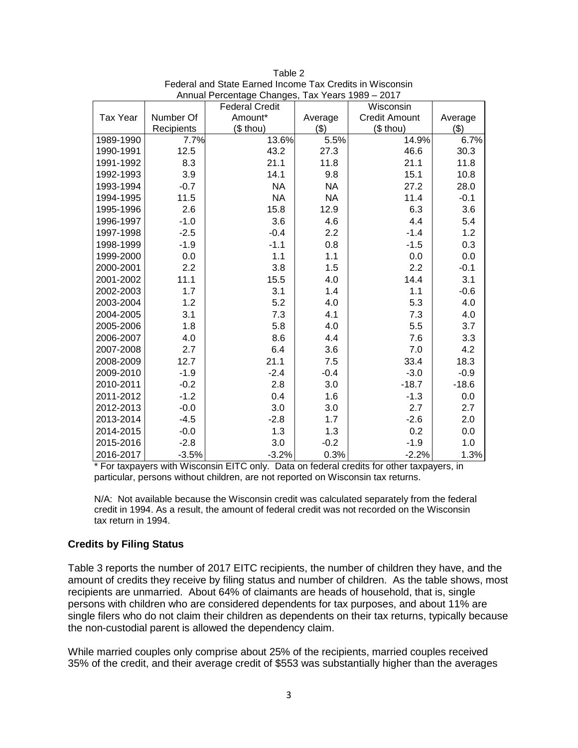|                 |            | <b>Federal Credit</b> |           | Wisconsin            |         |
|-----------------|------------|-----------------------|-----------|----------------------|---------|
| <b>Tax Year</b> | Number Of  | Amount*               | Average   | <b>Credit Amount</b> | Average |
|                 | Recipients | (\$ thou)             | \$)       | (\$ thou)            | (3)     |
| 1989-1990       | 7.7%       | 13.6%                 | 5.5%      | 14.9%                | 6.7%    |
| 1990-1991       | 12.5       | 43.2                  | 27.3      | 46.6                 | 30.3    |
| 1991-1992       | 8.3        | 21.1                  | 11.8      | 21.1                 | 11.8    |
| 1992-1993       | 3.9        | 14.1                  | 9.8       | 15.1                 | 10.8    |
| 1993-1994       | $-0.7$     | <b>NA</b>             | <b>NA</b> | 27.2                 | 28.0    |
| 1994-1995       | 11.5       | <b>NA</b>             | <b>NA</b> | 11.4                 | $-0.1$  |
| 1995-1996       | 2.6        | 15.8                  | 12.9      | 6.3                  | 3.6     |
| 1996-1997       | $-1.0$     | 3.6                   | 4.6       | 4.4                  | 5.4     |
| 1997-1998       | $-2.5$     | $-0.4$                | 2.2       | $-1.4$               | 1.2     |
| 1998-1999       | $-1.9$     | $-1.1$                | 0.8       | $-1.5$               | 0.3     |
| 1999-2000       | 0.0        | 1.1                   | 1.1       | 0.0                  | 0.0     |
| 2000-2001       | 2.2        | 3.8                   | 1.5       | 2.2                  | $-0.1$  |
| 2001-2002       | 11.1       | 15.5                  | 4.0       | 14.4                 | 3.1     |
| 2002-2003       | 1.7        | 3.1                   | 1.4       | 1.1                  | $-0.6$  |
| 2003-2004       | 1.2        | 5.2                   | 4.0       | 5.3                  | 4.0     |
| 2004-2005       | 3.1        | 7.3                   | 4.1       | 7.3                  | 4.0     |
| 2005-2006       | 1.8        | 5.8                   | 4.0       | 5.5                  | 3.7     |
| 2006-2007       | 4.0        | 8.6                   | 4.4       | 7.6                  | 3.3     |
| 2007-2008       | 2.7        | 6.4                   | 3.6       | 7.0                  | 4.2     |
| 2008-2009       | 12.7       | 21.1                  | 7.5       | 33.4                 | 18.3    |
| 2009-2010       | $-1.9$     | $-2.4$                | $-0.4$    | $-3.0$               | $-0.9$  |
| 2010-2011       | $-0.2$     | 2.8                   | 3.0       | $-18.7$              | $-18.6$ |
| 2011-2012       | $-1.2$     | 0.4                   | 1.6       | $-1.3$               | 0.0     |
| 2012-2013       | $-0.0$     | 3.0                   | 3.0       | 2.7                  | 2.7     |
| 2013-2014       | $-4.5$     | $-2.8$                | 1.7       | $-2.6$               | 2.0     |
| 2014-2015       | $-0.0$     | 1.3                   | 1.3       | 0.2                  | 0.0     |
| 2015-2016       | $-2.8$     | 3.0                   | $-0.2$    | $-1.9$               | 1.0     |
| 2016-2017       | $-3.5%$    | $-3.2%$               | 0.3%      | $-2.2%$              | 1.3%    |

| Table 2                                                  |
|----------------------------------------------------------|
| Federal and State Earned Income Tax Credits in Wisconsin |
| Annual Percentage Changes, Tax Years 1989 - 2017         |

\* For taxpayers with Wisconsin EITC only. Data on federal credits for other taxpayers, in particular, persons without children, are not reported on Wisconsin tax returns.

N/A: Not available because the Wisconsin credit was calculated separately from the federal credit in 1994. As a result, the amount of federal credit was not recorded on the Wisconsin tax return in 1994.

### **Credits by Filing Status**

Table 3 reports the number of 2017 EITC recipients, the number of children they have, and the amount of credits they receive by filing status and number of children. As the table shows, most recipients are unmarried. About 64% of claimants are heads of household, that is, single persons with children who are considered dependents for tax purposes, and about 11% are single filers who do not claim their children as dependents on their tax returns, typically because the non-custodial parent is allowed the dependency claim.

While married couples only comprise about 25% of the recipients, married couples received 35% of the credit, and their average credit of \$553 was substantially higher than the averages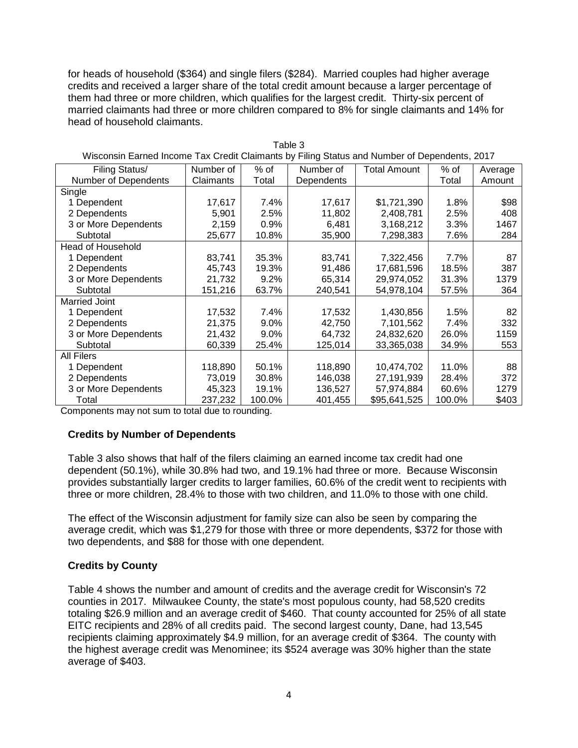for heads of household (\$364) and single filers (\$284). Married couples had higher average credits and received a larger share of the total credit amount because a larger percentage of them had three or more children, which qualifies for the largest credit. Thirty-six percent of married claimants had three or more children compared to 8% for single claimants and 14% for head of household claimants.

| Wisconsin Earned Income Tax Credit Claimants by Filing Status and Number of Dependents, 2017 |           |         |            |                     |        |         |  |  |
|----------------------------------------------------------------------------------------------|-----------|---------|------------|---------------------|--------|---------|--|--|
| Filing Status/                                                                               | Number of | $%$ of  | Number of  | <b>Total Amount</b> | $%$ of | Average |  |  |
| <b>Number of Dependents</b>                                                                  | Claimants | Total   | Dependents |                     | Total  | Amount  |  |  |
| Single                                                                                       |           |         |            |                     |        |         |  |  |
| 1 Dependent                                                                                  | 17,617    | 7.4%    | 17,617     | \$1,721,390         | 1.8%   | \$98    |  |  |
| 2 Dependents                                                                                 | 5,901     | 2.5%    | 11,802     | 2,408,781           | 2.5%   | 408     |  |  |
| 3 or More Dependents                                                                         | 2,159     | 0.9%    | 6,481      | 3,168,212           | 3.3%   | 1467    |  |  |
| Subtotal                                                                                     | 25,677    | 10.8%   | 35,900     | 7,298,383           | 7.6%   | 284     |  |  |
| <b>Head of Household</b>                                                                     |           |         |            |                     |        |         |  |  |
| 1 Dependent                                                                                  | 83,741    | 35.3%   | 83,741     | 7,322,456           | 7.7%   | 87      |  |  |
| 2 Dependents                                                                                 | 45,743    | 19.3%   | 91,486     | 17,681,596          | 18.5%  | 387     |  |  |
| 3 or More Dependents                                                                         | 21,732    | 9.2%    | 65,314     | 29,974,052          | 31.3%  | 1379    |  |  |
| Subtotal                                                                                     | 151,216   | 63.7%   | 240,541    | 54,978,104          | 57.5%  | 364     |  |  |
| <b>Married Joint</b>                                                                         |           |         |            |                     |        |         |  |  |
| 1 Dependent                                                                                  | 17,532    | 7.4%    | 17,532     | 1,430,856           | 1.5%   | 82      |  |  |
| 2 Dependents                                                                                 | 21,375    | 9.0%    | 42,750     | 7,101,562           | 7.4%   | 332     |  |  |
| 3 or More Dependents                                                                         | 21,432    | $9.0\%$ | 64,732     | 24,832,620          | 26.0%  | 1159    |  |  |
| Subtotal                                                                                     | 60,339    | 25.4%   | 125,014    | 33,365,038          | 34.9%  | 553     |  |  |
| <b>All Filers</b>                                                                            |           |         |            |                     |        |         |  |  |
| 1 Dependent                                                                                  | 118,890   | 50.1%   | 118,890    | 10,474,702          | 11.0%  | 88      |  |  |
| 2 Dependents                                                                                 | 73,019    | 30.8%   | 146,038    | 27,191,939          | 28.4%  | 372     |  |  |
| 3 or More Dependents                                                                         | 45,323    | 19.1%   | 136,527    | 57,974,884          | 60.6%  | 1279    |  |  |
| Total                                                                                        | 237,232   | 100.0%  | 401,455    | \$95,641,525        | 100.0% | \$403   |  |  |

Table 3 Wisconsin Earned Income Tax Credit Claimants by Filing Status and Number of Dependents, 2017

Components may not sum to total due to rounding.

### **Credits by Number of Dependents**

Table 3 also shows that half of the filers claiming an earned income tax credit had one dependent (50.1%), while 30.8% had two, and 19.1% had three or more. Because Wisconsin provides substantially larger credits to larger families, 60.6% of the credit went to recipients with three or more children, 28.4% to those with two children, and 11.0% to those with one child.

The effect of the Wisconsin adjustment for family size can also be seen by comparing the average credit, which was \$1,279 for those with three or more dependents, \$372 for those with two dependents, and \$88 for those with one dependent.

### **Credits by County**

Table 4 shows the number and amount of credits and the average credit for Wisconsin's 72 counties in 2017. Milwaukee County, the state's most populous county, had 58,520 credits totaling \$26.9 million and an average credit of \$460. That county accounted for 25% of all state EITC recipients and 28% of all credits paid. The second largest county, Dane, had 13,545 recipients claiming approximately \$4.9 million, for an average credit of \$364. The county with the highest average credit was Menominee; its \$524 average was 30% higher than the state average of \$403.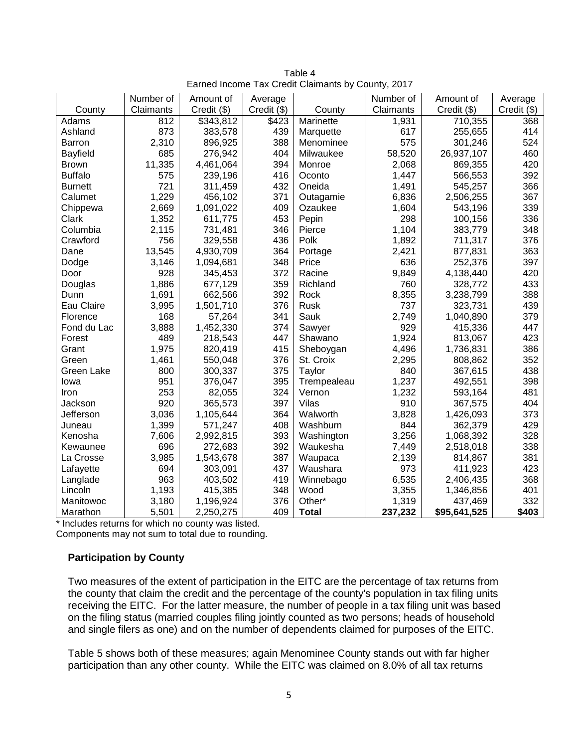|                | Number of | Amount of   | Average     |              | Number of | Amount of    | Average     |  |
|----------------|-----------|-------------|-------------|--------------|-----------|--------------|-------------|--|
| County         | Claimants | Credit (\$) | Credit (\$) | County       | Claimants | Credit (\$)  | Credit (\$) |  |
| Adams          | 812       | \$343,812   | \$423       | Marinette    | 1,931     | 710,355      | 368         |  |
| Ashland        | 873       | 383,578     | 439         | Marquette    | 617       | 255,655      | 414         |  |
| Barron         | 2,310     | 896,925     | 388         | Menominee    | 575       | 301,246      | 524         |  |
| Bayfield       | 685       | 276,942     | 404         | Milwaukee    | 58,520    | 26,937,107   | 460         |  |
| <b>Brown</b>   | 11,335    | 4,461,064   | 394         | Monroe       | 2,068     | 869,355      | 420         |  |
| <b>Buffalo</b> | 575       | 239,196     | 416         | Oconto       | 1,447     | 566,553      | 392         |  |
| <b>Burnett</b> | 721       | 311,459     | 432         | Oneida       | 1,491     | 545,257      | 366         |  |
| Calumet        | 1,229     | 456,102     | 371         | Outagamie    | 6,836     | 2,506,255    | 367         |  |
| Chippewa       | 2,669     | 1,091,022   | 409         | Ozaukee      | 1,604     | 543,196      | 339         |  |
| Clark          | 1,352     | 611,775     | 453         | Pepin        | 298       | 100,156      | 336         |  |
| Columbia       | 2,115     | 731,481     | 346         | Pierce       | 1,104     | 383,779      | 348         |  |
| Crawford       | 756       | 329,558     | 436         | Polk         | 1,892     | 711,317      | 376         |  |
| Dane           | 13,545    | 4,930,709   | 364         | Portage      | 2,421     | 877,831      | 363         |  |
| Dodge          | 3,146     | 1,094,681   | 348         | Price        | 636       | 252,376      | 397         |  |
| Door           | 928       | 345,453     | 372         | Racine       | 9,849     | 4,138,440    | 420         |  |
| Douglas        | 1,886     | 677,129     | 359         | Richland     | 760       | 328,772      | 433         |  |
| Dunn           | 1,691     | 662,566     | 392         | Rock         | 8,355     | 3,238,799    | 388         |  |
| Eau Claire     | 3,995     | 1,501,710   | 376         | <b>Rusk</b>  | 737       | 323,731      | 439         |  |
| Florence       | 168       | 57,264      | 341         | Sauk         | 2,749     | 1,040,890    | 379         |  |
| Fond du Lac    | 3,888     | 1,452,330   | 374         | Sawyer       | 929       | 415,336      | 447         |  |
| Forest         | 489       | 218,543     | 447         | Shawano      | 1,924     | 813,067      | 423         |  |
| Grant          | 1,975     | 820,419     | 415         | Sheboygan    | 4,496     | 1,736,831    | 386         |  |
| Green          | 1,461     | 550,048     | 376         | St. Croix    | 2,295     | 808,862      | 352         |  |
| Green Lake     | 800       | 300,337     | 375         | Taylor       | 840       | 367,615      | 438         |  |
| lowa           | 951       | 376,047     | 395         | Trempealeau  | 1,237     | 492,551      | 398         |  |
| Iron           | 253       | 82,055      | 324         | Vernon       | 1,232     | 593,164      | 481         |  |
| Jackson        | 920       | 365,573     | 397         | <b>Vilas</b> | 910       | 367,575      | 404         |  |
| Jefferson      | 3,036     | 1,105,644   | 364         | Walworth     | 3,828     | 1,426,093    | 373         |  |
| Juneau         | 1,399     | 571,247     | 408         | Washburn     | 844       | 362,379      | 429         |  |
| Kenosha        | 7,606     | 2,992,815   | 393         | Washington   | 3,256     | 1,068,392    | 328         |  |
| Kewaunee       | 696       | 272,683     | 392         | Waukesha     | 7,449     | 2,518,018    | 338         |  |
| La Crosse      | 3,985     | 1,543,678   | 387         | Waupaca      | 2,139     | 814,867      | 381         |  |
| Lafayette      | 694       | 303,091     | 437         | Waushara     | 973       | 411,923      | 423         |  |
| Langlade       | 963       | 403,502     | 419         | Winnebago    | 6,535     | 2,406,435    | 368         |  |
| Lincoln        | 1,193     | 415,385     | 348         | Wood         | 3,355     | 1,346,856    | 401         |  |
| Manitowoc      | 3,180     | 1,196,924   | 376         | Other*       | 1,319     | 437,469      | 332         |  |
| Marathon       | 5,501     | 2,250,275   | 409         | <b>Total</b> | 237,232   | \$95,641,525 | \$403       |  |

Table 4 Earned Income Tax Credit Claimants by County, 2017

\* Includes returns for which no county was listed.

Components may not sum to total due to rounding.

### **Participation by County**

Two measures of the extent of participation in the EITC are the percentage of tax returns from the county that claim the credit and the percentage of the county's population in tax filing units receiving the EITC. For the latter measure, the number of people in a tax filing unit was based on the filing status (married couples filing jointly counted as two persons; heads of household and single filers as one) and on the number of dependents claimed for purposes of the EITC.

Table 5 shows both of these measures; again Menominee County stands out with far higher participation than any other county. While the EITC was claimed on 8.0% of all tax returns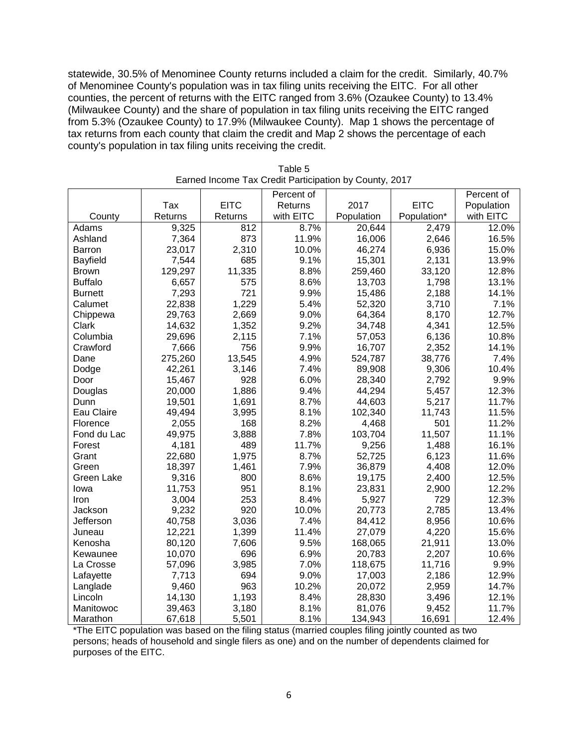statewide, 30.5% of Menominee County returns included a claim for the credit. Similarly, 40.7% of Menominee County's population was in tax filing units receiving the EITC. For all other counties, the percent of returns with the EITC ranged from 3.6% (Ozaukee County) to 13.4% (Milwaukee County) and the share of population in tax filing units receiving the EITC ranged from 5.3% (Ozaukee County) to 17.9% (Milwaukee County). Map 1 shows the percentage of tax returns from each county that claim the credit and Map 2 shows the percentage of each county's population in tax filing units receiving the credit.

|                |         |             | Percent of |            |             | Percent of |
|----------------|---------|-------------|------------|------------|-------------|------------|
|                | Tax     | <b>EITC</b> | Returns    | 2017       | <b>EITC</b> | Population |
| County         | Returns | Returns     | with EITC  | Population | Population* | with EITC  |
| Adams          | 9,325   | 812         | 8.7%       | 20,644     | 2,479       | 12.0%      |
| Ashland        | 7,364   | 873         | 11.9%      | 16,006     | 2,646       | 16.5%      |
| <b>Barron</b>  | 23,017  | 2,310       | 10.0%      | 46,274     | 6,936       | 15.0%      |
| Bayfield       | 7,544   | 685         | 9.1%       | 15,301     | 2,131       | 13.9%      |
| <b>Brown</b>   | 129,297 | 11,335      | 8.8%       | 259,460    | 33,120      | 12.8%      |
| <b>Buffalo</b> | 6,657   | 575         | 8.6%       | 13,703     | 1,798       | 13.1%      |
| <b>Burnett</b> | 7,293   | 721         | 9.9%       | 15,486     | 2,188       | 14.1%      |
| Calumet        | 22,838  | 1,229       | 5.4%       | 52,320     | 3,710       | 7.1%       |
| Chippewa       | 29,763  | 2,669       | 9.0%       | 64,364     | 8,170       | 12.7%      |
| Clark          | 14,632  | 1,352       | 9.2%       | 34,748     | 4,341       | 12.5%      |
| Columbia       | 29,696  | 2,115       | 7.1%       | 57,053     | 6,136       | 10.8%      |
| Crawford       | 7,666   | 756         | 9.9%       | 16,707     | 2,352       | 14.1%      |
| Dane           | 275,260 | 13,545      | 4.9%       | 524,787    | 38,776      | 7.4%       |
| Dodge          | 42,261  | 3,146       | 7.4%       | 89,908     | 9,306       | 10.4%      |
| Door           | 15,467  | 928         | 6.0%       | 28,340     | 2,792       | 9.9%       |
| Douglas        | 20,000  | 1,886       | 9.4%       | 44,294     | 5,457       | 12.3%      |
| Dunn           | 19,501  | 1,691       | 8.7%       | 44,603     | 5,217       | 11.7%      |
| Eau Claire     | 49,494  | 3,995       | 8.1%       | 102,340    | 11,743      | 11.5%      |
| Florence       | 2,055   | 168         | 8.2%       | 4,468      | 501         | 11.2%      |
| Fond du Lac    | 49,975  | 3,888       | 7.8%       | 103,704    | 11,507      | 11.1%      |
| Forest         | 4,181   | 489         | 11.7%      | 9,256      | 1,488       | 16.1%      |
| Grant          | 22,680  | 1,975       | 8.7%       | 52,725     | 6,123       | 11.6%      |
| Green          | 18,397  | 1,461       | 7.9%       | 36,879     | 4,408       | 12.0%      |
| Green Lake     | 9,316   | 800         | 8.6%       | 19,175     | 2,400       | 12.5%      |
| lowa           | 11,753  | 951         | 8.1%       | 23,831     | 2,900       | 12.2%      |
| Iron           | 3,004   | 253         | 8.4%       | 5,927      | 729         | 12.3%      |
| Jackson        | 9,232   | 920         | 10.0%      | 20,773     | 2,785       | 13.4%      |
| Jefferson      | 40,758  | 3,036       | 7.4%       | 84,412     | 8,956       | 10.6%      |
| Juneau         | 12,221  | 1,399       | 11.4%      | 27,079     | 4,220       | 15.6%      |
| Kenosha        | 80,120  | 7,606       | 9.5%       | 168,065    | 21,911      | 13.0%      |
| Kewaunee       | 10,070  | 696         | 6.9%       | 20,783     | 2,207       | 10.6%      |
| La Crosse      | 57,096  | 3,985       | 7.0%       | 118,675    | 11,716      | 9.9%       |
| Lafayette      | 7,713   | 694         | 9.0%       | 17,003     | 2,186       | 12.9%      |
| Langlade       | 9,460   | 963         | 10.2%      | 20,072     | 2,959       | 14.7%      |
| Lincoln        | 14,130  | 1,193       | 8.4%       | 28,830     | 3,496       | 12.1%      |
| Manitowoc      | 39,463  | 3,180       | 8.1%       | 81,076     | 9,452       | 11.7%      |
| Marathon       | 67,618  | 5,501       | 8.1%       | 134,943    | 16,691      | 12.4%      |

| Table 5                                                |  |
|--------------------------------------------------------|--|
| Earned Income Tax Credit Participation by County, 2017 |  |

\*The EITC population was based on the filing status (married couples filing jointly counted as two persons; heads of household and single filers as one) and on the number of dependents claimed for purposes of the EITC.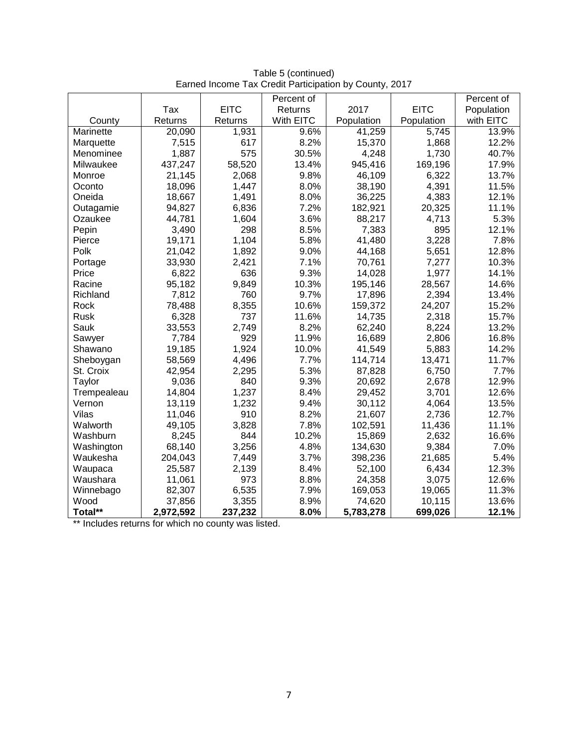|             |           |             | Percent of |            |             | Percent of |
|-------------|-----------|-------------|------------|------------|-------------|------------|
|             | Tax       | <b>EITC</b> | Returns    | 2017       | <b>EITC</b> | Population |
| County      | Returns   | Returns     | With EITC  | Population | Population  | with EITC  |
| Marinette   | 20,090    | 1,931       | 9.6%       | 41,259     | 5,745       | 13.9%      |
| Marquette   | 7,515     | 617         | 8.2%       | 15,370     | 1,868       | 12.2%      |
| Menominee   | 1,887     | 575         | 30.5%      | 4,248      | 1,730       | 40.7%      |
| Milwaukee   | 437,247   | 58,520      | 13.4%      | 945,416    | 169,196     | 17.9%      |
| Monroe      | 21,145    | 2,068       | 9.8%       | 46,109     | 6,322       | 13.7%      |
| Oconto      | 18,096    | 1,447       | 8.0%       | 38,190     | 4,391       | 11.5%      |
| Oneida      | 18,667    | 1,491       | 8.0%       | 36,225     | 4,383       | 12.1%      |
| Outagamie   | 94,827    | 6,836       | 7.2%       | 182,921    | 20,325      | 11.1%      |
| Ozaukee     | 44,781    | 1,604       | 3.6%       | 88,217     | 4,713       | 5.3%       |
| Pepin       | 3,490     | 298         | 8.5%       | 7,383      | 895         | 12.1%      |
| Pierce      | 19,171    | 1,104       | 5.8%       | 41,480     | 3,228       | 7.8%       |
| Polk        | 21,042    | 1,892       | 9.0%       | 44,168     | 5,651       | 12.8%      |
| Portage     | 33,930    | 2,421       | 7.1%       | 70,761     | 7,277       | 10.3%      |
| Price       | 6,822     | 636         | 9.3%       | 14,028     | 1,977       | 14.1%      |
| Racine      | 95,182    | 9,849       | 10.3%      | 195,146    | 28,567      | 14.6%      |
| Richland    | 7,812     | 760         | 9.7%       | 17,896     | 2,394       | 13.4%      |
| Rock        | 78,488    | 8,355       | 10.6%      | 159,372    | 24,207      | 15.2%      |
| <b>Rusk</b> | 6,328     | 737         | 11.6%      | 14,735     | 2,318       | 15.7%      |
| Sauk        | 33,553    | 2,749       | 8.2%       | 62,240     | 8,224       | 13.2%      |
| Sawyer      | 7,784     | 929         | 11.9%      | 16,689     | 2,806       | 16.8%      |
| Shawano     | 19,185    | 1,924       | 10.0%      | 41,549     | 5,883       | 14.2%      |
| Sheboygan   | 58,569    | 4,496       | 7.7%       | 114,714    | 13,471      | 11.7%      |
| St. Croix   | 42,954    | 2,295       | 5.3%       | 87,828     | 6,750       | 7.7%       |
| Taylor      | 9,036     | 840         | 9.3%       | 20,692     | 2,678       | 12.9%      |
| Trempealeau | 14,804    | 1,237       | 8.4%       | 29,452     | 3,701       | 12.6%      |
| Vernon      | 13,119    | 1,232       | 9.4%       | 30,112     | 4,064       | 13.5%      |
| Vilas       | 11,046    | 910         | 8.2%       | 21,607     | 2,736       | 12.7%      |
| Walworth    | 49,105    | 3,828       | 7.8%       | 102,591    | 11,436      | 11.1%      |
| Washburn    | 8,245     | 844         | 10.2%      | 15,869     | 2,632       | 16.6%      |
| Washington  | 68,140    | 3,256       | 4.8%       | 134,630    | 9,384       | 7.0%       |
| Waukesha    | 204,043   | 7,449       | 3.7%       | 398,236    | 21,685      | 5.4%       |
| Waupaca     | 25,587    | 2,139       | 8.4%       | 52,100     | 6,434       | 12.3%      |
| Waushara    | 11,061    | 973         | 8.8%       | 24,358     | 3,075       | 12.6%      |
| Winnebago   | 82,307    | 6,535       | 7.9%       | 169,053    | 19,065      | 11.3%      |
| Wood        | 37,856    | 3,355       | 8.9%       | 74,620     | 10,115      | 13.6%      |
| Total**     | 2,972,592 | 237,232     | 8.0%       | 5,783,278  | 699,026     | 12.1%      |

Table 5 (continued) Earned Income Tax Credit Participation by County, 2017

\*\* Includes returns for which no county was listed.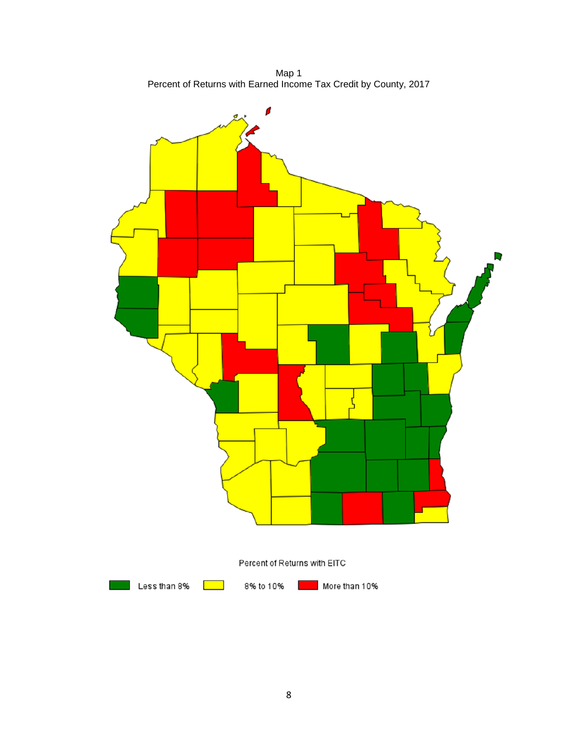Map 1 Percent of Returns with Earned Income Tax Credit by County, 2017